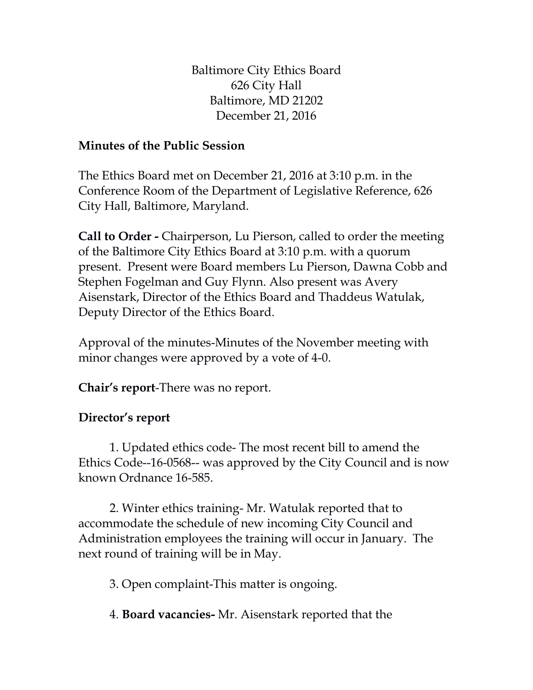Baltimore City Ethics Board 626 City Hall Baltimore, MD 21202 December 21, 2016

## **Minutes of the Public Session**

The Ethics Board met on December 21, 2016 at 3:10 p.m. in the Conference Room of the Department of Legislative Reference, 626 City Hall, Baltimore, Maryland.

**Call to Order -** Chairperson, Lu Pierson, called to order the meeting of the Baltimore City Ethics Board at 3:10 p.m. with a quorum present. Present were Board members Lu Pierson, Dawna Cobb and Stephen Fogelman and Guy Flynn. Also present was Avery Aisenstark, Director of the Ethics Board and Thaddeus Watulak, Deputy Director of the Ethics Board.

Approval of the minutes-Minutes of the November meeting with minor changes were approved by a vote of 4-0.

**Chair's report**-There was no report.

## **Director's report**

1. Updated ethics code- The most recent bill to amend the Ethics Code--16-0568-- was approved by the City Council and is now known Ordnance 16-585.

2. Winter ethics training- Mr. Watulak reported that to accommodate the schedule of new incoming City Council and Administration employees the training will occur in January. The next round of training will be in May.

3. Open complaint-This matter is ongoing.

4. **Board vacancies-** Mr. Aisenstark reported that the